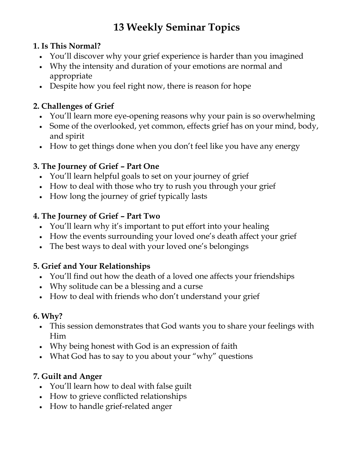# **13 Weekly Seminar Topics**

### **1. Is This Normal?**

- You'll discover why your grief experience is harder than you imagined
- Why the intensity and duration of your emotions are normal and appropriate
- Despite how you feel right now, there is reason for hope

# **2. Challenges of Grief**

- You'll learn more eye-opening reasons why your pain is so overwhelming
- Some of the overlooked, yet common, effects grief has on your mind, body, and spirit
- How to get things done when you don't feel like you have any energy

# **3. The Journey of Grief – Part One**

- You'll learn helpful goals to set on your journey of grief
- How to deal with those who try to rush you through your grief
- How long the journey of grief typically lasts

### **4. The Journey of Grief – Part Two**

- You'll learn why it's important to put effort into your healing
- How the events surrounding your loved one's death affect your grief
- The best ways to deal with your loved one's belongings

### **5. Grief and Your Relationships**

- You'll find out how the death of a loved one affects your friendships
- Why solitude can be a blessing and a curse
- How to deal with friends who don't understand your grief

# **6. Why?**

- This session demonstrates that God wants you to share your feelings with Him
- Why being honest with God is an expression of faith
- What God has to say to you about your "why" questions

# **7. Guilt and Anger**

- You'll learn how to deal with false guilt
- How to grieve conflicted relationships
- How to handle grief-related anger